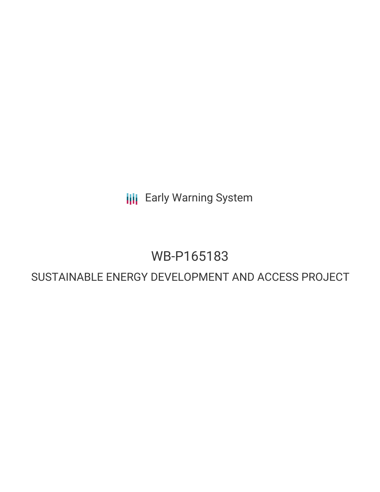**III** Early Warning System

## WB-P165183

## SUSTAINABLE ENERGY DEVELOPMENT AND ACCESS PROJECT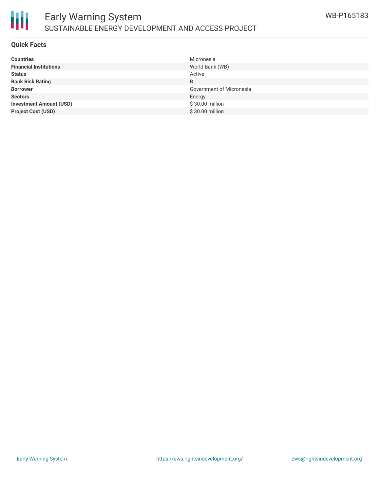

#### **Quick Facts**

朋

| <b>Countries</b>               | Micronesia               |
|--------------------------------|--------------------------|
| <b>Financial Institutions</b>  | World Bank (WB)          |
| <b>Status</b>                  | Active                   |
| <b>Bank Risk Rating</b>        | B                        |
| <b>Borrower</b>                | Government of Micronesia |
| <b>Sectors</b>                 | Energy                   |
| <b>Investment Amount (USD)</b> | \$30.00 million          |
| <b>Project Cost (USD)</b>      | \$30.00 million          |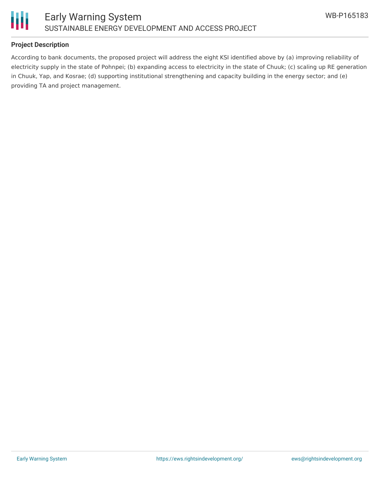

#### **Project Description**

According to bank documents, the proposed project will address the eight KSI identified above by (a) improving reliability of electricity supply in the state of Pohnpei; (b) expanding access to electricity in the state of Chuuk; (c) scaling up RE generation in Chuuk, Yap, and Kosrae; (d) supporting institutional strengthening and capacity building in the energy sector; and (e) providing TA and project management.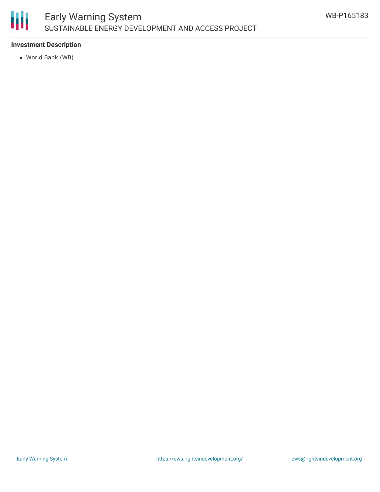

### Early Warning System SUSTAINABLE ENERGY DEVELOPMENT AND ACCESS PROJECT

#### **Investment Description**

World Bank (WB)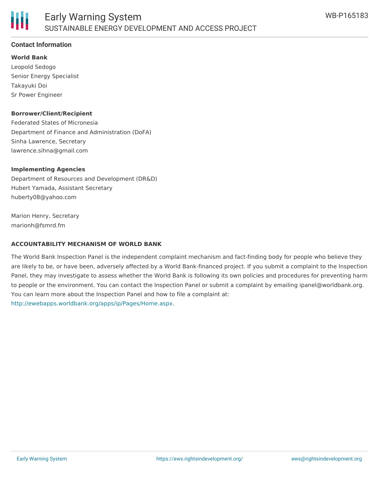

#### **Contact Information**

**World Bank** Leopold Sedogo Senior Energy Specialist Takayuki Doi Sr Power Engineer

#### **Borrower/Client/Recipient**

Federated States of Micronesia Department of Finance and Administration (DoFA) Sinha Lawrence, Secretary lawrence.sihna@gmail.com

#### **Implementing Agencies**

Department of Resources and Development (DR&D) Hubert Yamada, Assistant Secretary huberty08@yahoo.com

Marion Henry, Secretary marionh@fsmrd.fm

#### **ACCOUNTABILITY MECHANISM OF WORLD BANK**

The World Bank Inspection Panel is the independent complaint mechanism and fact-finding body for people who believe they are likely to be, or have been, adversely affected by a World Bank-financed project. If you submit a complaint to the Inspection Panel, they may investigate to assess whether the World Bank is following its own policies and procedures for preventing harm to people or the environment. You can contact the Inspection Panel or submit a complaint by emailing ipanel@worldbank.org. You can learn more about the Inspection Panel and how to file a complaint at: <http://ewebapps.worldbank.org/apps/ip/Pages/Home.aspx>.